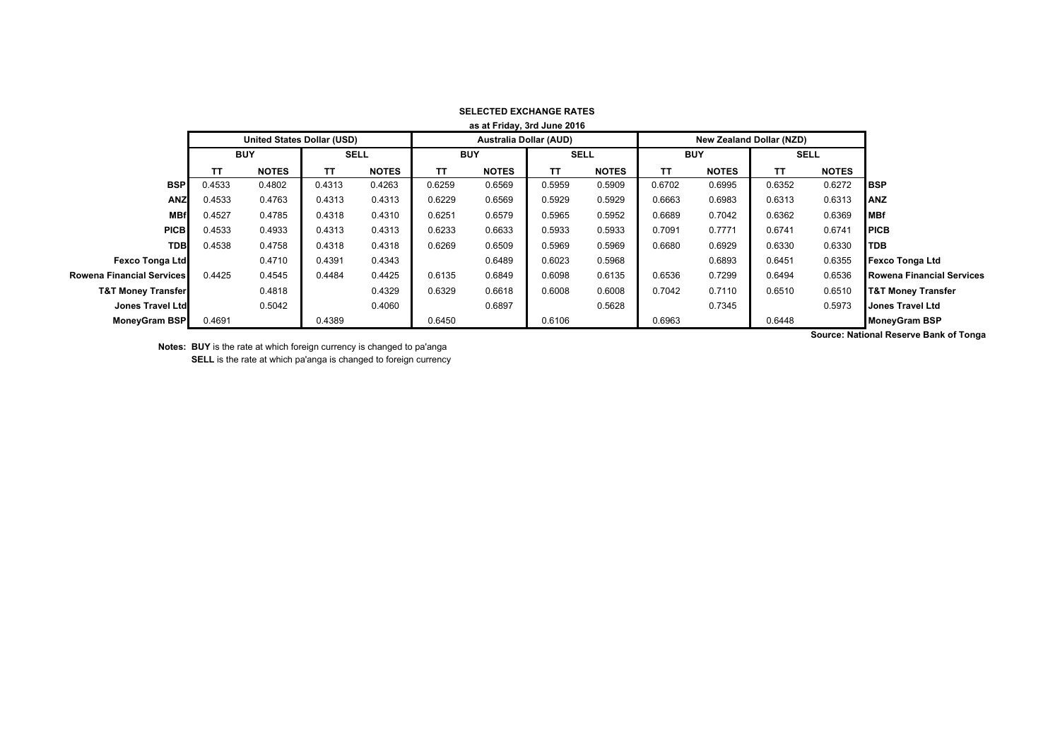| as at Friday, 3rd June 2016      |                                   |              |             |              |            |                               |             |              |            |                                 |             |              |                                  |
|----------------------------------|-----------------------------------|--------------|-------------|--------------|------------|-------------------------------|-------------|--------------|------------|---------------------------------|-------------|--------------|----------------------------------|
|                                  | <b>United States Dollar (USD)</b> |              |             |              |            | <b>Australia Dollar (AUD)</b> |             |              |            | <b>New Zealand Dollar (NZD)</b> |             |              |                                  |
|                                  | <b>BUY</b>                        |              | <b>SELL</b> |              | <b>BUY</b> |                               | <b>SELL</b> |              | <b>BUY</b> |                                 | <b>SELL</b> |              |                                  |
|                                  | ΤT                                | <b>NOTES</b> | ΤT          | <b>NOTES</b> | <b>TT</b>  | <b>NOTES</b>                  | ТΤ          | <b>NOTES</b> | тт         | <b>NOTES</b>                    | ΤT          | <b>NOTES</b> |                                  |
| <b>BSP</b>                       | 0.4533                            | 0.4802       | 0.4313      | 0.4263       | 0.6259     | 0.6569                        | 0.5959      | 0.5909       | 0.6702     | 0.6995                          | 0.6352      | 0.6272       | <b>IBSP</b>                      |
| <b>ANZ</b>                       | 0.4533                            | 0.4763       | 0.4313      | 0.4313       | 0.6229     | 0.6569                        | 0.5929      | 0.5929       | 0.6663     | 0.6983                          | 0.6313      | 0.6313       | <b>ANZ</b>                       |
| <b>MBf</b>                       | 0.4527                            | 0.4785       | 0.4318      | 0.4310       | 0.6251     | 0.6579                        | 0.5965      | 0.5952       | 0.6689     | 0.7042                          | 0.6362      | 0.6369       | <b>MBf</b>                       |
| <b>PICB</b>                      | 0.4533                            | 0.4933       | 0.4313      | 0.4313       | 0.6233     | 0.6633                        | 0.5933      | 0.5933       | 0.7091     | 0.7771                          | 0.6741      | 0.6741       | <b>PICB</b>                      |
| <b>TDB</b>                       | 0.4538                            | 0.4758       | 0.4318      | 0.4318       | 0.6269     | 0.6509                        | 0.5969      | 0.5969       | 0.6680     | 0.6929                          | 0.6330      | 0.6330       | <b>TDB</b>                       |
| Fexco Tonga Ltd                  |                                   | 0.4710       | 0.4391      | 0.4343       |            | 0.6489                        | 0.6023      | 0.5968       |            | 0.6893                          | 0.6451      | 0.6355       | <b>Fexco Tonga Ltd</b>           |
| <b>Rowena Financial Services</b> | 0.4425                            | 0.4545       | 0.4484      | 0.4425       | 0.6135     | 0.6849                        | 0.6098      | 0.6135       | 0.6536     | 0.7299                          | 0.6494      | 0.6536       | <b>Rowena Financial Services</b> |
| <b>T&amp;T Money Transfer</b>    |                                   | 0.4818       |             | 0.4329       | 0.6329     | 0.6618                        | 0.6008      | 0.6008       | 0.7042     | 0.7110                          | 0.6510      | 0.6510       | <b>T&amp;T Money Transfer</b>    |
| Jones Travel Ltd                 |                                   | 0.5042       |             | 0.4060       |            | 0.6897                        |             | 0.5628       |            | 0.7345                          |             | 0.5973       | <b>Jones Travel Ltd</b>          |
| <b>MoneyGram BSP</b>             | 0.4691                            |              | 0.4389      |              | 0.6450     |                               | 0.6106      |              | 0.6963     |                                 | 0.6448      |              | <b>MoneyGram BSP</b>             |
|                                  |                                   |              |             |              |            |                               |             |              |            |                                 |             |              |                                  |

## **SELECTED EXCHANGE RATES as at Friday, 3rd June 2016**

**Source: National Reserve Bank of Tonga**

**Notes: BUY** is the rate at which foreign currency is changed to pa'anga **SELL** is the rate at which pa'anga is changed to foreign currency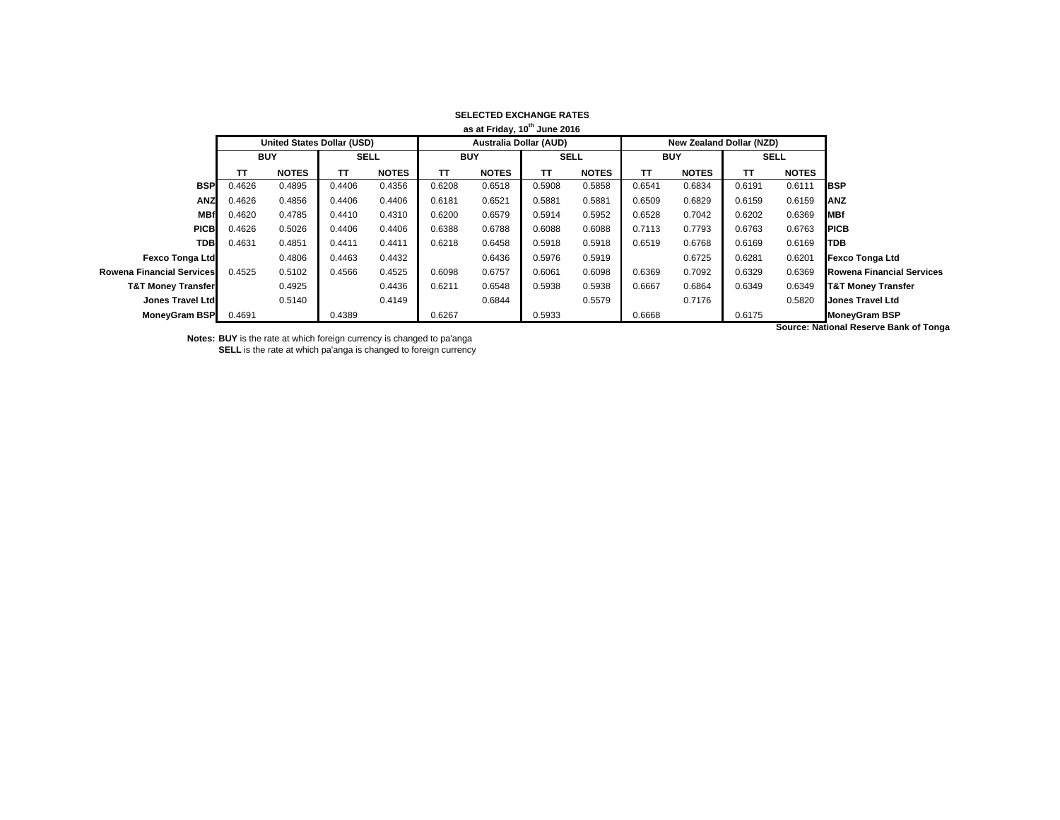|                               | as at Friday, 10 <sup>th</sup> June 2016 |                                   |             |              |            |                               |             |              |            |                                 |             |              |                                       |
|-------------------------------|------------------------------------------|-----------------------------------|-------------|--------------|------------|-------------------------------|-------------|--------------|------------|---------------------------------|-------------|--------------|---------------------------------------|
|                               |                                          | <b>United States Dollar (USD)</b> |             |              |            | <b>Australia Dollar (AUD)</b> |             |              |            | <b>New Zealand Dollar (NZD)</b> |             |              |                                       |
|                               | <b>BUY</b>                               |                                   | <b>SELL</b> |              | <b>BUY</b> |                               | <b>SELL</b> |              | <b>BUY</b> |                                 | <b>SELL</b> |              |                                       |
|                               | тτ                                       | <b>NOTES</b>                      | TΤ          | <b>NOTES</b> | TΤ         | <b>NOTES</b>                  | TΤ          | <b>NOTES</b> | TΤ         | <b>NOTES</b>                    | TΤ          | <b>NOTES</b> |                                       |
| <b>BSP</b>                    | 0.4626                                   | 0.4895                            | 0.4406      | 0.4356       | 0.6208     | 0.6518                        | 0.5908      | 0.5858       | 0.6541     | 0.6834                          | 0.6191      | 0.6111       | <b>IBSP</b>                           |
| <b>ANZ</b>                    | 0.4626                                   | 0.4856                            | 0.4406      | 0.4406       | 0.6181     | 0.6521                        | 0.5881      | 0.5881       | 0.6509     | 0.6829                          | 0.6159      | 0.6159       | <b>ANZ</b>                            |
| <b>MBf</b>                    | 0.4620                                   | 0.4785                            | 0.4410      | 0.4310       | 0.6200     | 0.6579                        | 0.5914      | 0.5952       | 0.6528     | 0.7042                          | 0.6202      | 0.6369       | <b>MBf</b>                            |
| <b>PICB</b>                   | 0.4626                                   | 0.5026                            | 0.4406      | 0.4406       | 0.6388     | 0.6788                        | 0.6088      | 0.6088       | 0.7113     | 0.7793                          | 0.6763      | 0.6763       | <b>IPICB</b>                          |
| <b>TDB</b>                    | 0.4631                                   | 0.4851                            | 0.4411      | 0.4411       | 0.6218     | 0.6458                        | 0.5918      | 0.5918       | 0.6519     | 0.6768                          | 0.6169      | 0.6169       | <b>ITDB</b>                           |
| <b>Fexco Tonga Ltd</b>        |                                          | 0.4806                            | 0.4463      | 0.4432       |            | 0.6436                        | 0.5976      | 0.5919       |            | 0.6725                          | 0.6281      | 0.6201       | <b>Fexco Tonga Ltd</b>                |
| Rowena Financial Services     | 0.4525                                   | 0.5102                            | 0.4566      | 0.4525       | 0.6098     | 0.6757                        | 0.6061      | 0.6098       | 0.6369     | 0.7092                          | 0.6329      | 0.6369       | <b>Rowena Financial Services</b>      |
| <b>T&amp;T Money Transfer</b> |                                          | 0.4925                            |             | 0.4436       | 0.6211     | 0.6548                        | 0.5938      | 0.5938       | 0.6667     | 0.6864                          | 0.6349      | 0.6349       | <b>T&amp;T Money Transfer</b>         |
| Jones Travel Ltd              |                                          | 0.5140                            |             | 0.4149       |            | 0.6844                        |             | 0.5579       |            | 0.7176                          |             | 0.5820       | <b>Jones Travel Ltd</b>               |
| MoneyGram BSP                 | 0.4691                                   |                                   | 0.4389      |              | 0.6267     |                               | 0.5933      |              | 0.6668     |                                 | 0.6175      |              | <b>MoneyGram BSP</b>                  |
|                               |                                          |                                   |             |              |            |                               |             |              |            |                                 |             |              | Course: Notional Desseus Dank of Tons |

## **SELECTED EXCHANGE RATES**

**Notes: BUY** is the rate at which foreign currency is changed to pa'anga **SELL** is the rate at which pa'anga is changed to foreign currency **Source: National Reserve Bank of Tonga**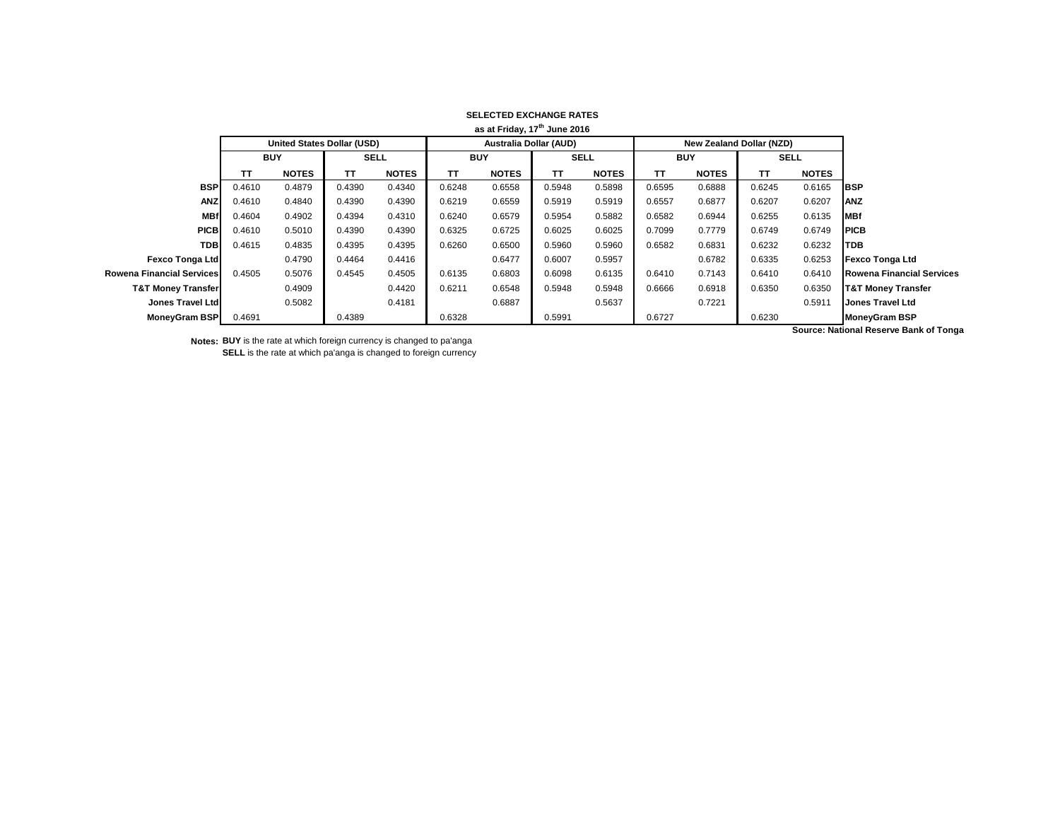| as at Friday, 17 <sup>th</sup> June 2016 |                                   |              |             |              |                               |              |             |              |            |                                 |             |              |                                       |
|------------------------------------------|-----------------------------------|--------------|-------------|--------------|-------------------------------|--------------|-------------|--------------|------------|---------------------------------|-------------|--------------|---------------------------------------|
|                                          | <b>United States Dollar (USD)</b> |              |             |              | <b>Australia Dollar (AUD)</b> |              |             |              |            | <b>New Zealand Dollar (NZD)</b> |             |              |                                       |
|                                          | <b>BUY</b>                        |              | <b>SELL</b> |              | <b>BUY</b>                    |              | <b>SELL</b> |              | <b>BUY</b> |                                 | <b>SELL</b> |              |                                       |
|                                          | TΤ                                | <b>NOTES</b> | TΤ          | <b>NOTES</b> | ΤT                            | <b>NOTES</b> | TΤ          | <b>NOTES</b> | TΤ         | <b>NOTES</b>                    | <b>TT</b>   | <b>NOTES</b> |                                       |
| <b>BSP</b>                               | 0.4610                            | 0.4879       | 0.4390      | 0.4340       | 0.6248                        | 0.6558       | 0.5948      | 0.5898       | 0.6595     | 0.6888                          | 0.6245      | 0.6165       | <b>IBSP</b>                           |
| <b>ANZ</b>                               | 0.4610                            | 0.4840       | 0.4390      | 0.4390       | 0.6219                        | 0.6559       | 0.5919      | 0.5919       | 0.6557     | 0.6877                          | 0.6207      | 0.6207       | <b>ANZ</b>                            |
| <b>MBf</b>                               | 0.4604                            | 0.4902       | 0.4394      | 0.4310       | 0.6240                        | 0.6579       | 0.5954      | 0.5882       | 0.6582     | 0.6944                          | 0.6255      | 0.6135       | <b>MBf</b>                            |
| <b>PICB</b>                              | 0.4610                            | 0.5010       | 0.4390      | 0.4390       | 0.6325                        | 0.6725       | 0.6025      | 0.6025       | 0.7099     | 0.7779                          | 0.6749      | 0.6749       | <b>PICB</b>                           |
| <b>TDB</b>                               | 0.4615                            | 0.4835       | 0.4395      | 0.4395       | 0.6260                        | 0.6500       | 0.5960      | 0.5960       | 0.6582     | 0.6831                          | 0.6232      | 0.6232       | <b>TDB</b>                            |
| <b>Fexco Tonga Ltd</b>                   |                                   | 0.4790       | 0.4464      | 0.4416       |                               | 0.6477       | 0.6007      | 0.5957       |            | 0.6782                          | 0.6335      | 0.6253       | <b>Fexco Tonga Ltd</b>                |
| Rowena Financial Services                | 0.4505                            | 0.5076       | 0.4545      | 0.4505       | 0.6135                        | 0.6803       | 0.6098      | 0.6135       | 0.6410     | 0.7143                          | 0.6410      | 0.6410       | <b>Rowena Financial Services</b>      |
| <b>T&amp;T Money Transfer</b>            |                                   | 0.4909       |             | 0.4420       | 0.6211                        | 0.6548       | 0.5948      | 0.5948       | 0.6666     | 0.6918                          | 0.6350      | 0.6350       | <b>T&amp;T Money Transfer</b>         |
| Jones Travel Ltd                         |                                   | 0.5082       |             | 0.4181       |                               | 0.6887       |             | 0.5637       |            | 0.7221                          |             | 0.5911       | <b>Jones Travel Ltd</b>               |
| <b>MoneyGram BSP</b>                     | 0.4691                            |              | 0.4389      |              | 0.6328                        |              | 0.5991      |              | 0.6727     |                                 | 0.6230      |              | <b>MoneyGram BSP</b>                  |
|                                          |                                   |              |             |              |                               |              |             |              |            |                                 |             |              | Course: Notional Desarve Dank of Tong |

## **SELECTED EXCHANGE RATES**

**Notes: BUY** is the rate at which foreign currency is changed to pa'anga **SELL** is the rate at which pa'anga is changed to foreign currency **Source: National Reserve Bank of Tonga**